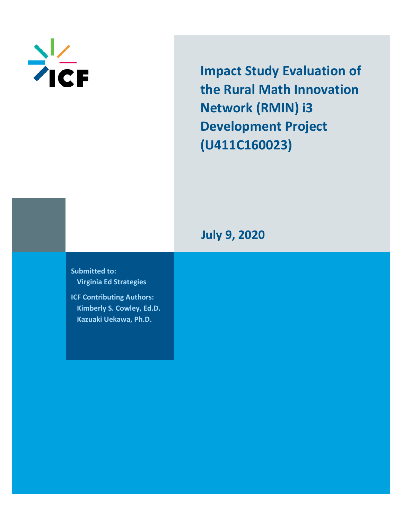

**Impact Study Evaluation of the Rural Math Innovation Network (RMIN) i3 Development Project (U411C160023)**

**July 9, 2020**

**Submitted to: Virginia Ed Strategies**

**ICF Contributing Authors: Kimberly S. Cowley, Ed.D. Kazuaki Uekawa, Ph.D.**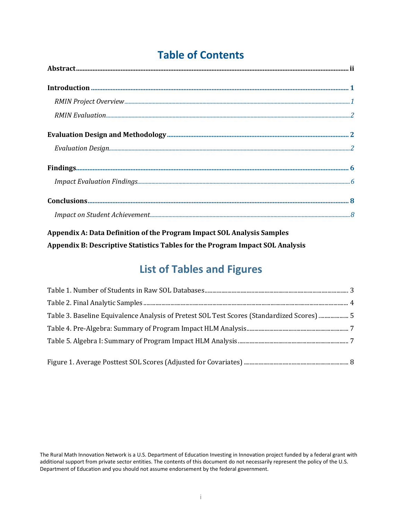# **Table of Contents**

| $\bf Findings 6$ |  |
|------------------|--|
|                  |  |
|                  |  |
|                  |  |

**Appendix A: Data Definition of the Program Impact SOL Analysis Samples Appendix B: Descriptive Statistics Tables for the Program Impact SOL Analysis**

# **List of Tables and Figures**

| Table 3. Baseline Equivalence Analysis of Pretest SOL Test Scores (Standardized Scores)  5 |  |
|--------------------------------------------------------------------------------------------|--|
|                                                                                            |  |
|                                                                                            |  |
|                                                                                            |  |
|                                                                                            |  |

The Rural Math Innovation Network is a U.S. Department of Education Investing in Innovation project funded by a federal grant with additional support from private sector entities. The contents of this document do not necessarily represent the policy of the U.S. Department of Education and you should not assume endorsement by the federal government.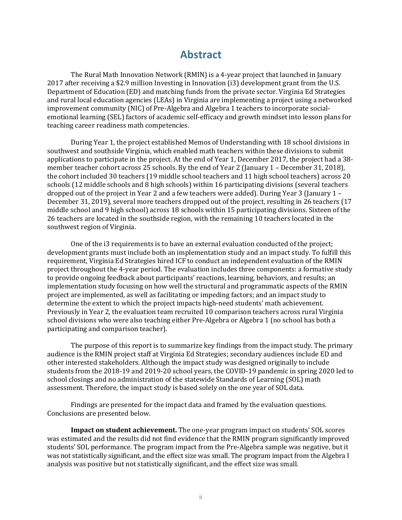## **Abstract**

<span id="page-2-0"></span>The Rural Math Innovation Network (RMIN) is a 4-year project that launched in January 2017 after receiving a \$2.9 million Investing in Innovation (i3) development grant from the U.S. Department of Education (ED) and matching funds from the private sector. Virginia Ed Strategies and rural local education agencies (LEAs) in Virginia are implementing a project using a networked improvement community (NIC) of Pre-Algebra and Algebra 1 teachers to incorporate socialemotional learning (SEL) factors of academic self-efficacy and growth mindset into lesson plans for teaching career readiness math competencies.

During Year 1, the project established Memos of Understanding with 18 school divisions in southwest and southside Virginia, which enabled math teachers within these divisions to submit applications to participate in the project. At the end of Year 1, December 2017, the project had a 38 member teacher cohort across 25 schools. By the end of Year 2 (January 1 – December 31, 2018), the cohort included 30 teachers (19 middle school teachers and 11 high school teachers) across 20 schools (12 middle schools and 8 high schools) within 16 participating divisions (several teachers dropped out of the project in Year 2 and a few teachers were added). During Year 3 (January 1 – December 31, 2019), several more teachers dropped out of the project, resulting in 26 teachers (17 middle school and 9 high school) across 18 schools within 15 participating divisions. Sixteen of the 26 teachers are located in the southside region, with the remaining 10 teachers located in the southwest region of Virginia.

One of the i3 requirements is to have an external evaluation conducted of the project; development grants must include both an implementation study and an impact study. To fulfill this requirement, Virginia Ed Strategies hired ICF to conduct an independent evaluation of the RMIN project throughout the 4-year period. The evaluation includes three components: a formative study to provide ongoing feedback about participants' reactions, learning, behaviors, and results; an implementation study focusing on how well the structural and programmatic aspects of the RMIN project are implemented, as well as facilitating or impeding factors; and an impact study to determine the extent to which the project impacts high-need students' math achievement. Previously in Year 2, the evaluation team recruited 10 comparison teachers across rural Virginia school divisions who were also teaching either Pre-Algebra or Algebra 1 (no school has both a participating and comparison teacher).

The purpose of this report is to summarize key findings from the impact study. The primary audience is the RMIN project staff at Virginia Ed Strategies; secondary audiences include ED and other interested stakeholders. Although the impact study was designed originally to include students from the 2018-19 and 2019-20 school years, the COVID-19 pandemic in spring 2020 led to school closings and no administration of the statewide Standards of Learning (SOL) math assessment. Therefore, the impact study is based solely on the one year of SOL data.

Findings are presented for the impact data and framed by the evaluation questions. Conclusions are presented below.

**Impact on student achievement.** The one-year program impact on students' SOL scores was estimated and the results did not find evidence that the RMIN program significantly improved students' SOL performance. The program impact from the Pre-Algebra sample was negative, but it was not statistically significant, and the effect size was small. The program impact from the Algebra I analysis was positive but not statistically significant, and the effect size was small.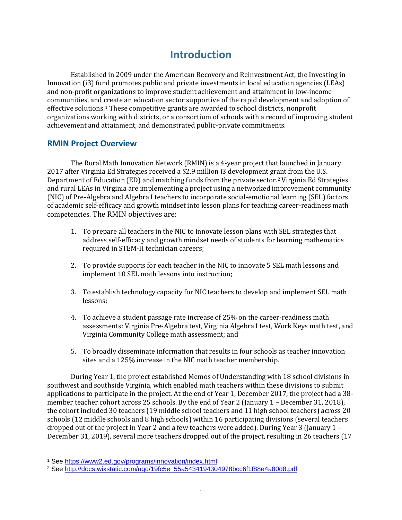## **Introduction**

<span id="page-3-0"></span>Established in 2009 under the American Recovery and Reinvestment Act, the Investing in Innovation (i3) fund promotes public and private investments in local education agencies (LEAs) and non-profit organizations to improve student achievement and attainment in low-income communities, and create an education sector supportive of the rapid development and adoption of effective solutions.[1](#page-3-2) These competitive grants are awarded to school districts, nonprofit organizations working with districts, or a consortium of schools with a record of improving student achievement and attainment, and demonstrated public-private commitments.

## <span id="page-3-1"></span>**RMIN Project Overview**

The Rural Math Innovation Network (RMIN) is a 4-year project that launched in January 2017 after Virginia Ed Strategies received a \$2.9 million i3 development gr[an](#page-3-3)t from the U.S. Department of Education (ED) and matching funds from the private sector.2 Virginia Ed Strategies and rural LEAs in Virginia are implementing a project using a networked improvement community (NIC) of Pre-Algebra and Algebra I teachers to incorporate social-emotional learning (SEL) factors of academic self-efficacy and growth mindset into lesson plans for teaching career-readiness math competencies. The RMIN objectives are:

- 1. To prepare all teachers in the NIC to innovate lesson plans with SEL strategies that address self-efficacy and growth mindset needs of students for learning mathematics required in STEM-H technician careers;
- 2. To provide supports for each teacher in the NIC to innovate 5 SEL math lessons and implement 10 SEL math lessons into instruction;
- 3. To establish technology capacity for NIC teachers to develop and implement SEL math lessons;
- 4. To achieve a student passage rate increase of 25% on the career-readiness math assessments: Virginia Pre-Algebra test, Virginia Algebra I test, Work Keys math test, and Virginia Community College math assessment; and
- 5. To broadly disseminate information that results in four schools as teacher innovation sites and a 125% increase in the NIC math teacher membership.

During Year 1, the project established Memos of Understanding with 18 school divisions in southwest and southside Virginia, which enabled math teachers within these divisions to submit applications to participate in the project. At the end of Year 1, December 2017, the project had a 38 member teacher cohort across 25 schools. By the end of Year 2 (January 1 – December 31, 2018), the cohort included 30 teachers (19 middle school teachers and 11 high school teachers) across 20 schools (12 middle schools and 8 high schools) within 16 participating divisions (several teachers dropped out of the project in Year 2 and a few teachers were added). During Year 3 (January 1 – December 31, 2019), several more teachers dropped out of the project, resulting in 26 teachers (17

<span id="page-3-3"></span><span id="page-3-2"></span><sup>&</sup>lt;sup>1</sup> See https://www2.ed.gov/programs/innovation/index.html<br><sup>2</sup> See http://docs.wixstatic.com/ugd/19fc5e\_55a5434194304978bcc6f1f88e4a80d8.pdf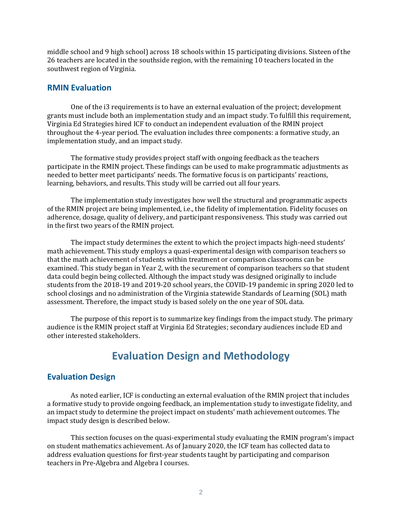middle school and 9 high school) across 18 schools within 15 participating divisions. Sixteen of the 26 teachers are located in the southside region, with the remaining 10 teachers located in the southwest region of Virginia.

### <span id="page-4-0"></span>**RMIN Evaluation**

One of the i3 requirements is to have an external evaluation of the project; development grants must include both an implementation study and an impact study. To fulfill this requirement, Virginia Ed Strategies hired ICF to conduct an independent evaluation of the RMIN project throughout the 4-year period. The evaluation includes three components: a formative study, an implementation study, and an impact study.

The formative study provides project staff with ongoing feedback as the teachers participate in the RMIN project. These findings can be used to make programmatic adjustments as needed to better meet participants' needs. The formative focus is on participants' reactions, learning, behaviors, and results. This study will be carried out all four years.

The implementation study investigates how well the structural and programmatic aspects of the RMIN project are being implemented, i.e., the fidelity of implementation. Fidelity focuses on adherence, dosage, quality of delivery, and participant responsiveness. This study was carried out in the first two years of the RMIN project.

The impact study determines the extent to which the project impacts high-need students' math achievement. This study employs a quasi-experimental design with comparison teachers so that the math achievement of students within treatment or comparison classrooms can be examined. This study began in Year 2, with the securement of comparison teachers so that student data could begin being collected. Although the impact study was designed originally to include students from the 2018-19 and 2019-20 school years, the COVID-19 pandemic in spring 2020 led to school closings and no administration of the Virginia statewide Standards of Learning (SOL) math assessment. Therefore, the impact study is based solely on the one year of SOL data.

The purpose of this report is to summarize key findings from the impact study. The primary audience is the RMIN project staff at Virginia Ed Strategies; secondary audiences include ED and other interested stakeholders.

## **Evaluation Design and Methodology**

## <span id="page-4-2"></span><span id="page-4-1"></span>**Evaluation Design**

As noted earlier, ICF is conducting an external evaluation of the RMIN project that includes a formative study to provide ongoing feedback, an implementation study to investigate fidelity, and an impact study to determine the project impact on students' math achievement outcomes. The impact study design is described below.

 This section focuses on the quasi-experimental study evaluating the RMIN program's impact on student mathematics achievement. As of January 2020, the ICF team has collected data to address evaluation questions for first-year students taught by participating and comparison teachers in Pre-Algebra and Algebra I courses.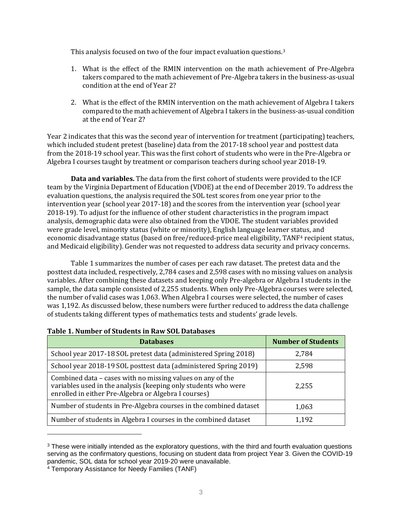This analysis focused on two of the four impact evaluation questions.[3](#page-5-0)

- 1. What is the effect of the RMIN intervention on the math achievement of Pre-Algebra takers compared to the math achievement of Pre-Algebra takers in the business-as-usual condition at the end of Year 2?
- 2. What is the effect of the RMIN intervention on the math achievement of Algebra I takers compared to the math achievement of Algebra I takers in the business-as-usual condition at the end of Year 2?

Year 2 indicates that this was the second year of intervention for treatment (participating) teachers, which included student pretest (baseline) data from the 2017-18 school year and posttest data from the 2018-19 school year. This was the first cohort of students who were in the Pre-Algebra or Algebra I courses taught by treatment or comparison teachers during school year 2018-19.

**Data and variables.** The data from the first cohort of students were provided to the ICF team by the Virginia Department of Education (VDOE) at the end of December 2019. To address the evaluation questions, the analysis required the SOL test scores from one year prior to the intervention year (school year 2017-18) and the scores from the intervention year (school year 2018-19). To adjust for the influence of other student characteristics in the program impact analysis, demographic data were also obtained from the VDOE. The student variables provided were grade level, minority status (white or minority), English language learner sta[tu](#page-5-1)s, and economic disadvantage status (based on free/reduced-price meal eligibility, TANF<sup>4</sup> recipient status, and Medicaid eligibility). Gender was not requested to address data security and privacy concerns.

Table 1 summarizes the number of cases per each raw dataset. The pretest data and the posttest data included, respectively, 2,784 cases and 2,598 cases with no missing values on analysis variables. After combining these datasets and keeping only Pre-algebra or Algebra I students in the sample, the data sample consisted of 2,255 students. When only Pre-Algebra courses were selected, the number of valid cases was 1,063. When Algebra I courses were selected, the number of cases was 1,192. As discussed below, these numbers were further reduced to address the data challenge of students taking different types of mathematics tests and students' grade levels.

| <b>Databases</b>                                                                                                                                                                     | <b>Number of Students</b> |
|--------------------------------------------------------------------------------------------------------------------------------------------------------------------------------------|---------------------------|
| School year 2017-18 SOL pretest data (administered Spring 2018)                                                                                                                      | 2,784                     |
| School year 2018-19 SOL posttest data (administered Spring 2019)                                                                                                                     | 2,598                     |
| Combined data – cases with no missing values on any of the<br>variables used in the analysis (keeping only students who were<br>enrolled in either Pre-Algebra or Algebra I courses) | 2,255                     |
| Number of students in Pre-Algebra courses in the combined dataset                                                                                                                    | 1,063                     |
| Number of students in Algebra I courses in the combined dataset                                                                                                                      | l 192                     |

#### **Table 1. Number of Students in Raw SOL Databases**

<span id="page-5-0"></span><sup>&</sup>lt;sup>3</sup> These were initially intended as the exploratory questions, with the third and fourth evaluation questions serving as the confirmatory questions, focusing on student data from project Year 3. Given the COVID-19 pandemic, SOL data for school year 2019-20 were unavailable.

<span id="page-5-1"></span><sup>4</sup> Temporary Assistance for Needy Families (TANF)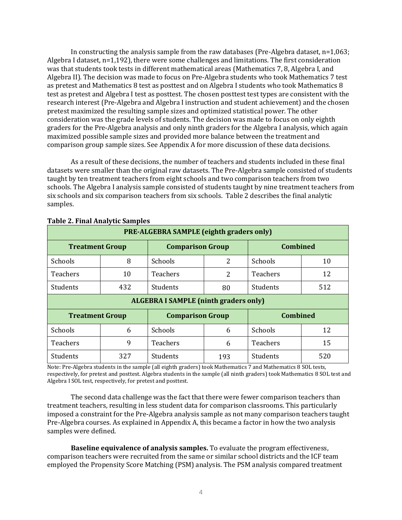In constructing the analysis sample from the raw databases (Pre-Algebra dataset,  $n=1,063$ ; Algebra I dataset, n=1,192), there were some challenges and limitations. The first consideration was that students took tests in different mathematical areas (Mathematics 7, 8, Algebra I, and Algebra II). The decision was made to focus on Pre-Algebra students who took Mathematics 7 test as pretest and Mathematics 8 test as posttest and on Algebra I students who took Mathematics 8 test as pretest and Algebra I test as posttest. The chosen posttest test types are consistent with the research interest (Pre-Algebra and Algebra I instruction and student achievement) and the chosen pretest maximized the resulting sample sizes and optimized statistical power. The other consideration was the grade levels of students. The decision was made to focus on only eighth graders for the Pre-Algebra analysis and only ninth graders for the Algebra I analysis, which again maximized possible sample sizes and provided more balance between the treatment and comparison group sample sizes. See Appendix A for more discussion of these data decisions.

As a result of these decisions, the number of teachers and students included in these final datasets were smaller than the original raw datasets. The Pre-Algebra sample consisted of students taught by ten treatment teachers from eight schools and two comparison teachers from two schools. The Algebra I analysis sample consisted of students taught by nine treatment teachers from six schools and six comparison teachers from six schools. Table 2 describes the final analytic samples.

| PRE-ALGEBRA SAMPLE (eighth graders only)                             |                                                                      |                 |     |                 |     |  |  |  |
|----------------------------------------------------------------------|----------------------------------------------------------------------|-----------------|-----|-----------------|-----|--|--|--|
| <b>Combined</b><br><b>Comparison Group</b><br><b>Treatment Group</b> |                                                                      |                 |     |                 |     |  |  |  |
| <b>Schools</b>                                                       | 8                                                                    | <b>Schools</b>  | 2   | Schools         | 10  |  |  |  |
| <b>Teachers</b>                                                      | 10                                                                   | <b>Teachers</b> | 2   | <b>Teachers</b> | 12  |  |  |  |
| Students                                                             | 432                                                                  | Students        | 80  | Students        | 512 |  |  |  |
| <b>ALGEBRA I SAMPLE (ninth graders only)</b>                         |                                                                      |                 |     |                 |     |  |  |  |
|                                                                      | <b>Combined</b><br><b>Comparison Group</b><br><b>Treatment Group</b> |                 |     |                 |     |  |  |  |
| Schools                                                              | 6                                                                    | Schools         | 6   | Schools         | 12  |  |  |  |
| <b>Teachers</b>                                                      | 9                                                                    | <b>Teachers</b> | 6   | <b>Teachers</b> | 15  |  |  |  |
| Students                                                             | 327                                                                  | Students        | 193 | Students        | 520 |  |  |  |

### **Table 2. Final Analytic Samples**

Note: Pre-Algebra students in the sample (all eighth graders) took Mathematics 7 and Mathematics 8 SOL tests, respectively, for pretest and posttest. Algebra students in the sample (all ninth graders) took Mathematics 8 SOL test and Algebra I SOL test, respectively, for pretest and posttest.

The second data challenge was the fact that there were fewer comparison teachers than treatment teachers, resulting in less student data for comparison classrooms. This particularly imposed a constraint for the Pre-Algebra analysis sample as not many comparison teachers taught Pre-Algebra courses. As explained in Appendix A, this became a factor in how the two analysis samples were defined.

**Baseline equivalence of analysis samples.** To evaluate the program effectiveness, comparison teachers were recruited from the same or similar school districts and the ICF team employed the Propensity Score Matching (PSM) analysis. The PSM analysis compared treatment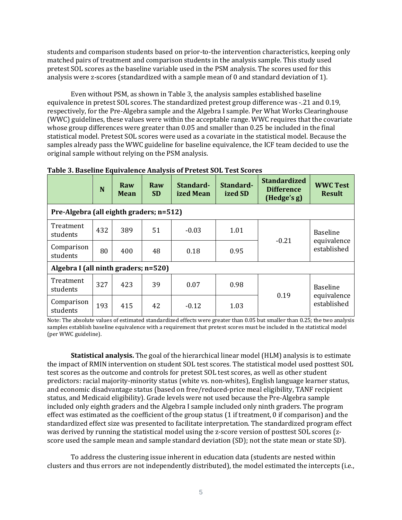students and comparison students based on prior-to-the intervention characteristics, keeping only matched pairs of treatment and comparison students in the analysis sample. This study used pretest SOL scores as the baseline variable used in the PSM analysis. The scores used for this analysis were z-scores (standardized with a sample mean of 0 and standard deviation of 1).

Even without PSM, as shown in Table 3, the analysis samples established baseline equivalence in pretest SOL scores. The standardized pretest group difference was -.21 and 0.19, respectively, for the Pre-Algebra sample and the Algebra I sample. Per What Works Clearinghouse (WWC) guidelines, these values were within the acceptable range. WWC requires that the covariate whose group differences were greater than 0.05 and smaller than 0.25 be included in the final statistical model. Pretest SOL scores were used as a covariate in the statistical model. Because the samples already pass the WWC guideline for baseline equivalence, the ICF team decided to use the original sample without relying on the PSM analysis.

|                                         | N   | Raw<br><b>Mean</b> | Raw<br><b>SD</b> | Standard-<br>ized Mean | Standard-<br>ized SD | <b>Standardized</b><br><b>Difference</b><br>(Hedge's g) | <b>WWC Test</b><br><b>Result</b> |
|-----------------------------------------|-----|--------------------|------------------|------------------------|----------------------|---------------------------------------------------------|----------------------------------|
| Pre-Algebra (all eighth graders; n=512) |     |                    |                  |                        |                      |                                                         |                                  |
| Treatment<br>students                   | 432 | 389                | 51               | $-0.03$                | 1.01                 | $-0.21$                                                 | <b>Baseline</b><br>equivalence   |
| Comparison<br>students                  | 80  | 400                | 48               | 0.18                   | 0.95                 |                                                         | established                      |
| Algebra I (all ninth graders; n=520)    |     |                    |                  |                        |                      |                                                         |                                  |
| Treatment<br>students                   | 327 | 423                | 39               | 0.07                   | 0.98                 |                                                         | <b>Baseline</b>                  |
| Comparison<br>students                  | 193 | 415                | 42               | $-0.12$                | 1.03                 | 0.19                                                    | equivalence<br>established       |

### **Table 3. Baseline Equivalence Analysis of Pretest SOL Test Scores**

Note: The absolute values of estimated standardized effects were greater than 0.05 but smaller than 0.25; the two analysis samples establish baseline equivalence with a requirement that pretest scores must be included in the statistical model (per WWC guideline).

**Statistical analysis.** The goal of the hierarchical linear model (HLM) analysis is to estimate the impact of RMIN intervention on student SOL test scores. The statistical model used posttest SOL test scores as the outcome and controls for pretest SOL test scores, as well as other student predictors: racial majority-minority status (white vs. non-whites), English language learner status, and economic disadvantage status (based on free/reduced-price meal eligibility, TANF recipient status, and Medicaid eligibility). Grade levels were not used because the Pre-Algebra sample included only eighth graders and the Algebra I sample included only ninth graders. The program effect was estimated as the coefficient of the group status (1 if treatment, 0 if comparison) and the standardized effect size was presented to facilitate interpretation. The standardized program effect was derived by running the statistical model using the z-score version of posttest SOL scores (zscore used the sample mean and sample standard deviation (SD); not the state mean or state SD).

To address the clustering issue inherent in education data (students are nested within clusters and thus errors are not independently distributed), the model estimated the intercepts (i.e.,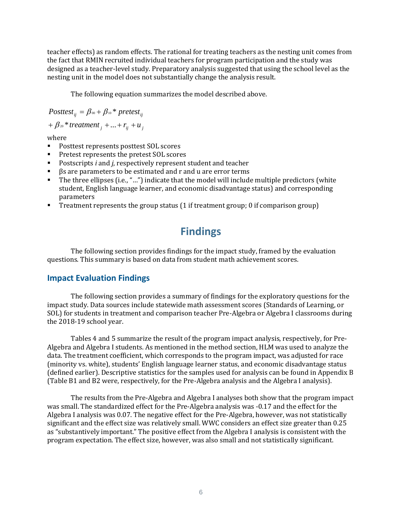teacher effects) as random effects. The rational for treating teachers as the nesting unit comes from the fact that RMIN recruited individual teachers for program participation and the study was designed as a teacher-level study. Preparatory analysis suggested that using the school level as the nesting unit in the model does not substantially change the analysis result.

The following equation summarizes the model described above.

Posttest<sub>ii</sub> =  $\beta_{00}$  +  $\beta_{10}$  \* pretest<sub>ii</sub>

 $+ \beta_{20} * treatment_i + ... + r_{ij} + u_j$ 

where  $\blacksquare$ 

- Posttest represents posttest SOL scores
- Pretest represents the pretest SOL scores
- **Postscripts** *i* and *j*, respectively represent student and teacher<br>**B** are narameters to be estimated and r and u are error terms
- βs are parameters to be estimated and r and u are error terms
- The three ellipses (i.e., "…") indicate that the model will include multiple predictors (white student, English language learner, and economic disadvantage status) and corresponding parameters
- <span id="page-8-0"></span>Treatment represents the group status (1 if treatment group; 0 if comparison group)

# **Findings**

The following section provides findings for the impact study, framed by the evaluation questions. This summary is based on data from student math achievement scores.

## <span id="page-8-1"></span>**Impact Evaluation Findings**

The following section provides a summary of findings for the exploratory questions for the impact study. Data sources include statewide math assessment scores (Standards of Learning, or SOL) for students in treatment and comparison teacher Pre-Algebra or Algebra I classrooms during the 2018-19 school year.

Tables 4 and 5 summarize the result of the program impact analysis, respectively, for Pre-Algebra and Algebra I students. As mentioned in the method section, HLM was used to analyze the data. The treatment coefficient, which corresponds to the program impact, was adjusted for race (minority vs. white), students' English language learner status, and economic disadvantage status (defined earlier). Descriptive statistics for the samples used for analysis can be found in Appendix B (Table B1 and B2 were, respectively, for the Pre-Algebra analysis and the Algebra I analysis).

The results from the Pre-Algebra and Algebra I analyses both show that the program impact was small. The standardized effect for the Pre-Algebra analysis was -0.17 and the effect for the Algebra I analysis was 0.07. The negative effect for the Pre-Algebra, however, was not statistically significant and the effect size was relatively small. WWC considers an effect size greater than 0.25 as "substantively important." The positive effect from the Algebra I analysis is consistent with the program expectation. The effect size, however, was also small and not statistically significant.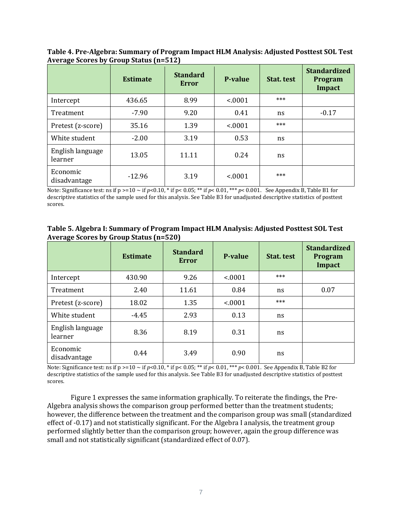|                             | <b>Estimate</b> | <b>Standard</b><br>Error | <b>P-value</b> | Stat. test | <b>Standardized</b><br><b>Program</b><br>Impact |
|-----------------------------|-----------------|--------------------------|----------------|------------|-------------------------------------------------|
| Intercept                   | 436.65          | 8.99                     | < .0001        | ***        |                                                 |
| Treatment                   | $-7.90$         | 9.20                     | 0.41           | ns         | $-0.17$                                         |
| Pretest (z-score)           | 35.16           | 1.39                     | < .0001        | ***        |                                                 |
| White student               | $-2.00$         | 3.19                     | 0.53           | ns         |                                                 |
| English language<br>learner | 13.05           | 11.11                    | 0.24           | ns         |                                                 |
| Economic<br>disadvantage    | $-12.96$        | 3.19                     | < .0001        | ***        |                                                 |

**Table 4. Pre-Algebra: Summary of Program Impact HLM Analysis: Adjusted Posttest SOL Test Average Scores by Group Status (n=512)**

Note: Significance test: ns if  $p \ge 10 \sim$  if  $p < 0.10$ ,  $*$  if  $p < 0.05$ ;  $**$  if  $p < 0.01$ ,  $**$   $p < 0.001$ . See Appendix B, Table B1 for descriptive statistics of the sample used for this analysis. See Table B3 for unadjusted descriptive statistics of posttest scores.

### **Table 5. Algebra I: Summary of Program Impact HLM Analysis: Adjusted Posttest SOL Test Average Scores by Group Status (n=520)**

|                             | <b>Estimate</b> | <b>Standard</b><br>Error | <b>P-value</b> | Stat. test | <b>Standardized</b><br>Program<br><b>Impact</b> |
|-----------------------------|-----------------|--------------------------|----------------|------------|-------------------------------------------------|
| Intercept                   | 430.90          | 9.26                     | < .0001        | ***        |                                                 |
| Treatment                   | 2.40            | 11.61                    | 0.84           | ns         | 0.07                                            |
| Pretest (z-score)           | 18.02           | 1.35                     | < .0001        | ***        |                                                 |
| White student               | $-4.45$         | 2.93                     | 0.13           | ns         |                                                 |
| English language<br>learner | 8.36            | 8.19                     | 0.31           | ns         |                                                 |
| Economic<br>disadvantage    | 0.44            | 3.49                     | 0.90           | ns         |                                                 |

Note: Significance test: ns if  $p > 10 \sim$  if  $p < 0.10$ ,  $*$  if  $p < 0.05$ ;  $**$  if  $p < 0.01$ ,  $***$   $p < 0.001$ . See Appendix B, Table B2 for descriptive statistics of the sample used for this analysis. See Table B3 for unadjusted descriptive statistics of posttest scores.

Figure 1 expresses the same information graphically. To reiterate the findings, the Pre-Algebra analysis shows the comparison group performed better than the treatment students; however, the difference between the treatment and the comparison group was small (standardized effect of -0.17) and not statistically significant. For the Algebra I analysis, the treatment group performed slightly better than the comparison group; however, again the group difference was small and not statistically significant (standardized effect of 0.07).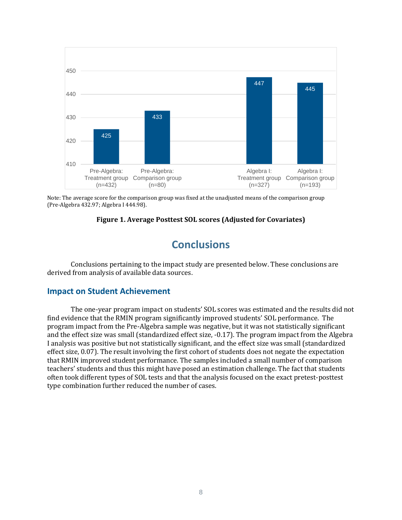

Note: The average score for the comparison group was fixed at the unadjusted means of the comparison group (Pre-Algebra 432.97; Algebra I 444.98).

### **Figure 1. Average Posttest SOL scores (Adjusted for Covariates)**

# **Conclusions**

<span id="page-10-0"></span>Conclusions pertaining to the impact study are presented below. These conclusions are derived from analysis of available data sources.

## <span id="page-10-1"></span>**Impact on Student Achievement**

The one-year program impact on students' SOL scores was estimated and the results did not find evidence that the RMIN program significantly improved students' SOL performance. The program impact from the Pre-Algebra sample was negative, but it was not statistically significant and the effect size was small (standardized effect size, -0.17). The program impact from the Algebra I analysis was positive but not statistically significant, and the effect size was small (standardized effect size, 0.07). The result involving the first cohort of students does not negate the expectation that RMIN improved student performance. The samples included a small number of comparison teachers' students and thus this might have posed an estimation challenge. The fact that students often took different types of SOL tests and that the analysis focused on the exact pretest-posttest type combination further reduced the number of cases.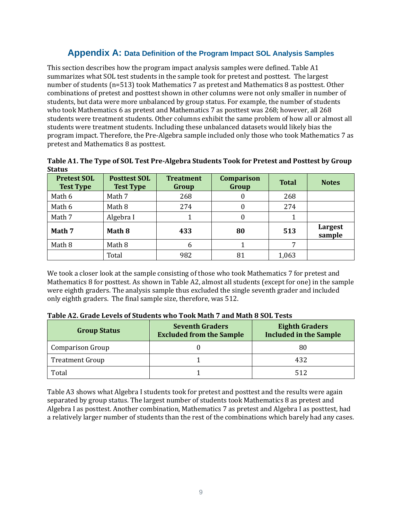## **Appendix A: Data Definition of the Program Impact SOL Analysis Samples**

This section describes how the program impact analysis samples were defined. Table A1 summarizes what SOL test students in the sample took for pretest and posttest. The largest number of students (n=513) took Mathematics 7 as pretest and Mathematics 8 as posttest. Other combinations of pretest and posttest shown in other columns were not only smaller in number of students, but data were more unbalanced by group status. For example, the number of students who took Mathematics 6 as pretest and Mathematics 7 as posttest was 268; however, all 268 students were treatment students. Other columns exhibit the same problem of how all or almost all students were treatment students. Including these unbalanced datasets would likely bias the program impact. Therefore, the Pre-Algebra sample included only those who took Mathematics 7 as pretest and Mathematics 8 as posttest.

| ətatus                                 |                                         |                           |                            |              |                   |
|----------------------------------------|-----------------------------------------|---------------------------|----------------------------|--------------|-------------------|
| <b>Pretest SOL</b><br><b>Test Type</b> | <b>Posttest SOL</b><br><b>Test Type</b> | <b>Treatment</b><br>Group | <b>Comparison</b><br>Group | <b>Total</b> | <b>Notes</b>      |
| Math 6                                 | Math 7                                  | 268                       | O                          | 268          |                   |
| Math 6                                 | Math 8                                  | 274                       |                            | 274          |                   |
| Math 7                                 | Algebra I                               |                           | 0                          |              |                   |
| Math 7                                 | Math 8                                  | 433                       | 80                         | 513          | Largest<br>sample |
| Math 8                                 | Math 8                                  | 6                         |                            | 7            |                   |
|                                        | Total                                   | 982                       | 81                         | 1,063        |                   |

**Table A1. The Type of SOL Test Pre-Algebra Students Took for Pretest and Posttest by Group Status**

We took a closer look at the sample consisting of those who took Mathematics 7 for pretest and Mathematics 8 for posttest. As shown in Table A2, almost all students (except for one) in the sample were eighth graders. The analysis sample thus excluded the single seventh grader and included only eighth graders. The final sample size, therefore, was 512.

| <b>Group Status</b>     | <b>Seventh Graders</b><br><b>Excluded from the Sample</b> | <b>Eighth Graders</b><br><b>Included in the Sample</b> |  |
|-------------------------|-----------------------------------------------------------|--------------------------------------------------------|--|
| <b>Comparison Group</b> |                                                           | 80                                                     |  |
| <b>Treatment Group</b>  |                                                           | 432                                                    |  |
| Total                   |                                                           | 512                                                    |  |

Table A3 shows what Algebra I students took for pretest and posttest and the results were again separated by group status. The largest number of students took Mathematics 8 as pretest and Algebra I as posttest. Another combination, Mathematics 7 as pretest and Algebra I as posttest, had a relatively larger number of students than the rest of the combinations which barely had any cases.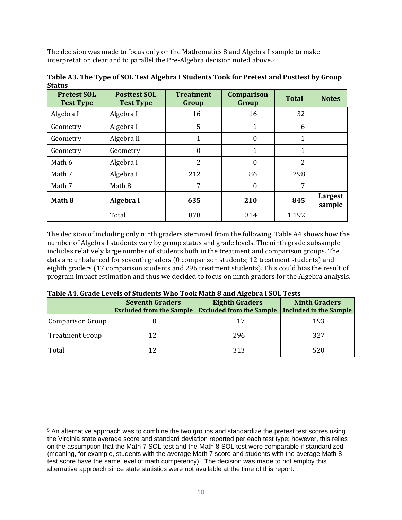The decision was made to focus only on the Mathematics 8 and Algebra I sample to make interpretation clear and to parallel the Pre-Algebra decision noted above.[5](#page-12-0)

| <b>Pretest SOL</b><br><b>Test Type</b> | <b>Posttest SOL</b><br><b>Test Type</b> | <b>Treatment</b><br>Group | <b>Comparison</b><br>Group | <b>Total</b> | <b>Notes</b>      |
|----------------------------------------|-----------------------------------------|---------------------------|----------------------------|--------------|-------------------|
| Algebra I                              | Algebra I                               | 16                        | 16                         | 32           |                   |
| Geometry                               | Algebra I                               | 5                         | 1                          | 6            |                   |
| Geometry                               | Algebra II                              | $\mathbf{1}$              | $\mathbf{0}$               | 1            |                   |
| Geometry                               | Geometry                                | $\boldsymbol{0}$          | 1                          | 1            |                   |
| Math 6                                 | Algebra I                               | $\overline{2}$            | $\mathbf{0}$               | 2            |                   |
| Math 7                                 | Algebra I                               | 212                       | 86                         | 298          |                   |
| Math 7                                 | Math 8                                  | 7                         | $\boldsymbol{0}$           | 7            |                   |
| Math 8                                 | Algebra I                               | 635                       | 210                        | 845          | Largest<br>sample |
|                                        | Total                                   | 878                       | 314                        | 1,192        |                   |

**Table A3. The Type of SOL Test Algebra I Students Took for Pretest and Posttest by Group Status**

The decision of including only ninth graders stemmed from the following. Table A4 shows how the number of Algebra I students vary by group status and grade levels. The ninth grade subsample includes relatively large number of students both in the treatment and comparison groups. The data are unbalanced for seventh graders (0 comparison students; 12 treatment students) and eighth graders (17 comparison students and 296 treatment students). This could bias the result of program impact estimation and thus we decided to focus on ninth graders for the Algebra analysis.

|                        | <b>Seventh Graders</b><br><b>Excluded from the Sample</b> | <b>Eighth Graders</b><br><b>Excluded from the Sample</b> | <b>Ninth Graders</b><br>Included in the Sample |
|------------------------|-----------------------------------------------------------|----------------------------------------------------------|------------------------------------------------|
| Comparison Group       |                                                           |                                                          | 193                                            |
| <b>Treatment Group</b> |                                                           | 296                                                      | 327                                            |
| Total                  |                                                           | 313                                                      | 520                                            |

<span id="page-12-0"></span><sup>5</sup> An alternative approach was to combine the two groups and standardize the pretest test scores using the Virginia state average score and standard deviation reported per each test type; however, this relies on the assumption that the Math 7 SOL test and the Math 8 SOL test were comparable if standardized (meaning, for example, students with the average Math 7 score and students with the average Math 8 test score have the same level of math competency). The decision was made to not employ this alternative approach since state statistics were not available at the time of this report.